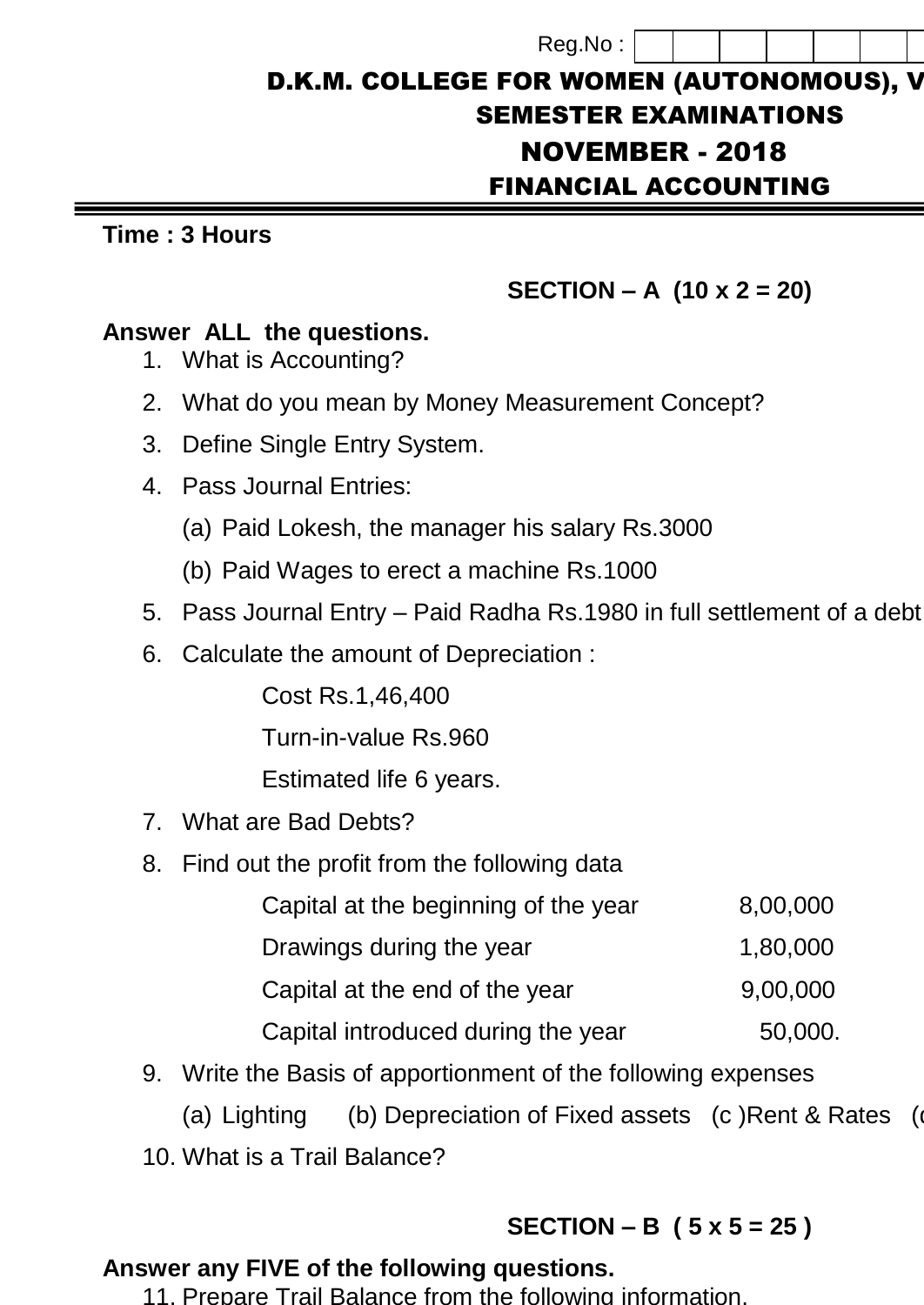#### **Time : 3 Hours**

# **SECTION – A (10 x 2 = 20)**

## **Answer ALL the questions.**

- 1. What is Accounting?
- 2. What do you mean by Money Measurement Concept?
- 3. Define Single Entry System.
- 4. Pass Journal Entries:
	- (a) Paid Lokesh, the manager his salary Rs.3000
	- (b) Paid Wages to erect a machine Rs.1000
- 5. Pass Journal Entry Paid Radha Rs.1980 in full settlement of a debt
- 6. Calculate the amount of Depreciation :

Cost Rs.1,46,400

Turn-in-value Rs.960

Estimated life 6 years.

- 7. What are Bad Debts?
- 8. Find out the profit from the following data
	- Capital at the beginning of the year 8,00,000
	- Drawings during the year 1,80,000
	- Capital at the end of the year 9,00,000
	- Capital introduced during the year 50,000.
- 9. Write the Basis of apportionment of the following expenses
	- (a) Lighting (b) Depreciation of Fixed assets (c) Rent & Rates (d)
- 10. What is a Trail Balance?

# **SECTION – B ( 5 x 5 = 25 )**

## **Answer any FIVE of the following questions.**

11. Prepare Trail Balance from the following information.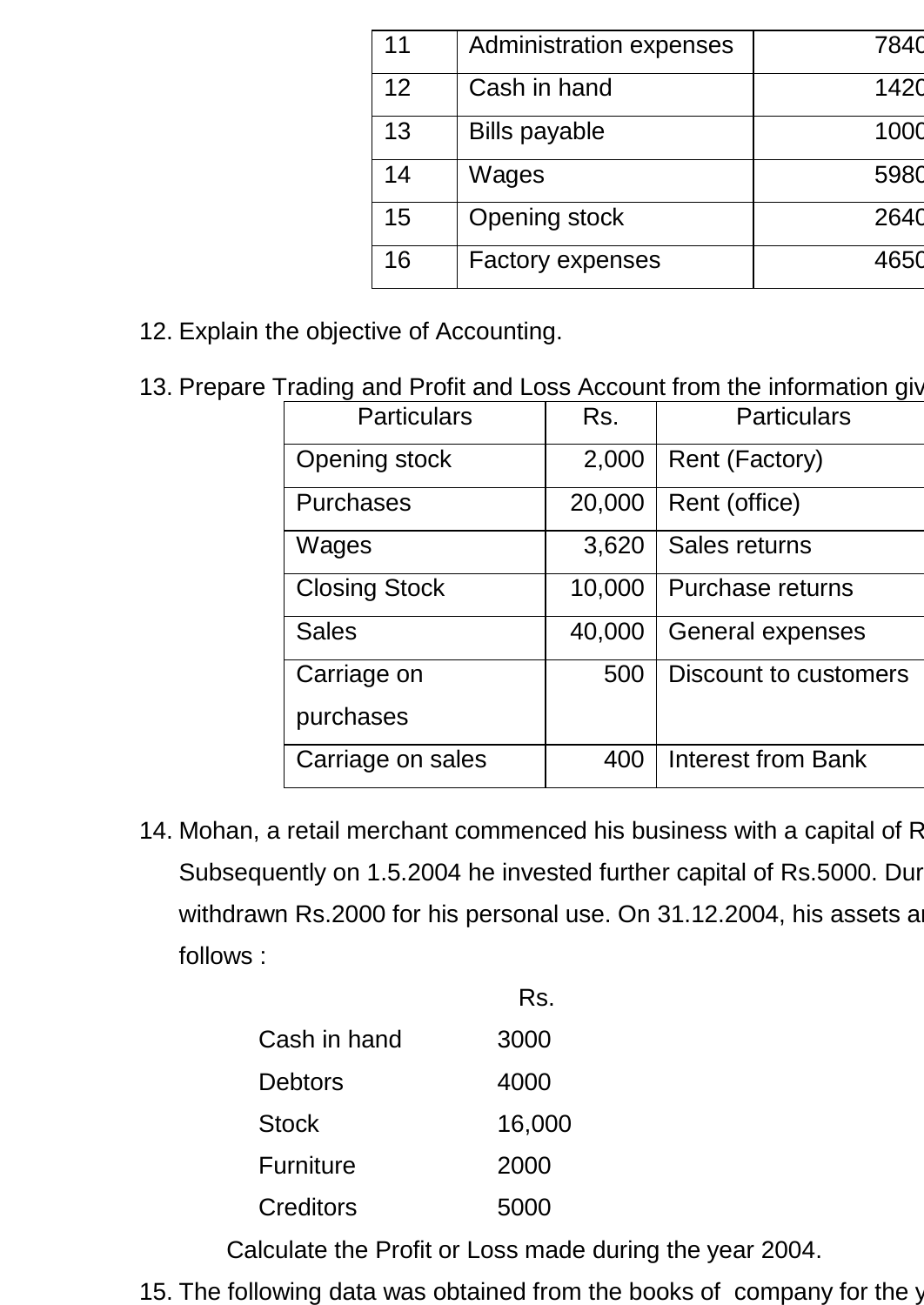| 11 | <b>Administration expenses</b> | 7840 |
|----|--------------------------------|------|
| 12 | Cash in hand                   | 1420 |
| 13 | <b>Bills payable</b>           | 1000 |
| 14 | Wages                          | 5980 |
| 15 | Opening stock                  | 2640 |
| 16 | <b>Factory expenses</b>        | 4650 |

- 12. Explain the objective of Accounting.
- 13. Prepare Trading and Profit and Loss Account from the information give

| $100 \text{ m/s}$ and T form and E000 $\mu$ too different though information give |        |                              |  |  |
|-----------------------------------------------------------------------------------|--------|------------------------------|--|--|
| <b>Particulars</b>                                                                | Rs.    | <b>Particulars</b>           |  |  |
| Opening stock                                                                     | 2,000  | <b>Rent (Factory)</b>        |  |  |
| <b>Purchases</b>                                                                  | 20,000 | Rent (office)                |  |  |
| Wages                                                                             | 3,620  | Sales returns                |  |  |
| <b>Closing Stock</b>                                                              | 10,000 | Purchase returns             |  |  |
| <b>Sales</b>                                                                      | 40,000 | <b>General expenses</b>      |  |  |
| Carriage on                                                                       | 500    | <b>Discount to customers</b> |  |  |
| purchases                                                                         |        |                              |  |  |
| Carriage on sales                                                                 | 400    | <b>Interest from Bank</b>    |  |  |

14. Mohan, a retail merchant commenced his business with a capital of R Subsequently on 1.5.2004 he invested further capital of Rs.5000. During withdrawn Rs.2000 for his personal use. On 31.12.2004, his assets a follows :

|                  | Rs.    |
|------------------|--------|
| Cash in hand     | 3000   |
| <b>Debtors</b>   | 4000   |
| <b>Stock</b>     | 16,000 |
| <b>Furniture</b> | 2000   |
| Creditors        | 5000   |

Calculate the Profit or Loss made during the year 2004.

15. The following data was obtained from the books of company for the y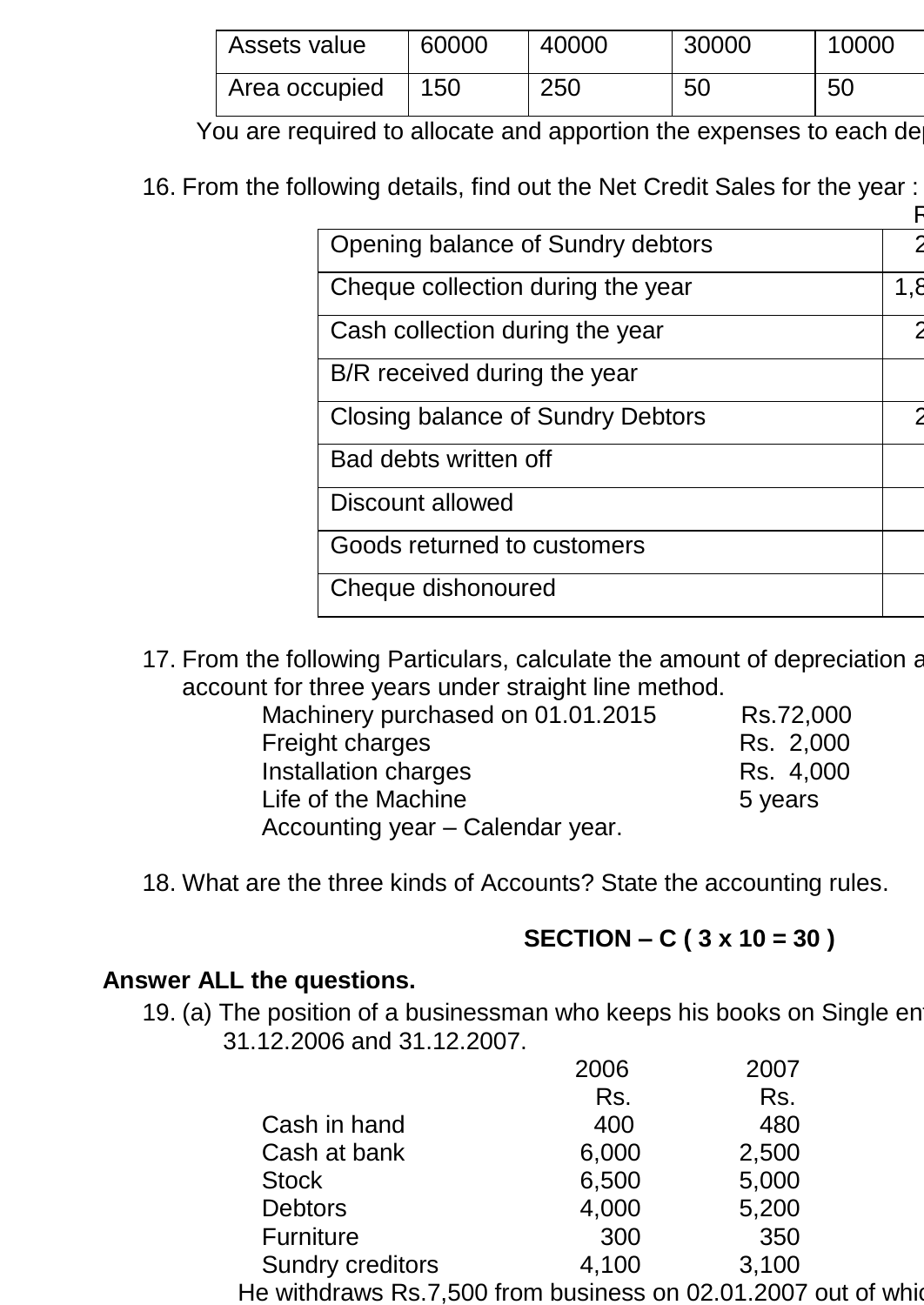| Assets value  | 60000 | 40000 | 30000 | 10000 |
|---------------|-------|-------|-------|-------|
| Area occupied | 150   | 250   | 50    | 50    |

You are required to allocate and apportion the expenses to each department on suitable basis.

16. From the following details, find out the Net Credit Sales for the year :

| Opening balance of Sundry debtors |     |
|-----------------------------------|-----|
| Cheque collection during the year | 1,8 |
| Cash collection during the year   |     |
| B/R received during the year      |     |
| Closing balance of Sundry Debtors |     |
| Bad debts written off             |     |
| Discount allowed                  |     |
| Goods returned to customers       |     |
| Cheque dishonoured                |     |
|                                   |     |

17. From the following Particulars, calculate the amount of depreciation a account for three years under straight line method.

| Machinery purchased on 01.01.2015 | Rs.72,000 |
|-----------------------------------|-----------|
| <b>Freight charges</b>            | Rs. 2,000 |
| Installation charges              | Rs. 4,000 |
| Life of the Machine               | 5 years   |
| Accounting year - Calendar year.  |           |

18. What are the three kinds of Accounts? State the accounting rules.

### **SECTION – C ( 3 x 10 = 30 )**

#### **Answer ALL the questions.**

19. (a) The position of a businessman who keeps his books on Single en 31.12.2006 and 31.12.2007.

|                                                      | 2006  | 2007  |
|------------------------------------------------------|-------|-------|
|                                                      | Rs.   | Rs.   |
| Cash in hand                                         | 400   | 480   |
| Cash at bank                                         | 6,000 | 2,500 |
| <b>Stock</b>                                         | 6,500 | 5,000 |
| <b>Debtors</b>                                       | 4,000 | 5,200 |
| <b>Furniture</b>                                     | 300   | 350   |
| <b>Sundry creditors</b>                              | 4,100 | 3,100 |
| le withdraws Rs 7 500 from business on 02 01 2007 ou |       |       |

He withdraws Rs.7,500 from business on 02.01.2007 out of which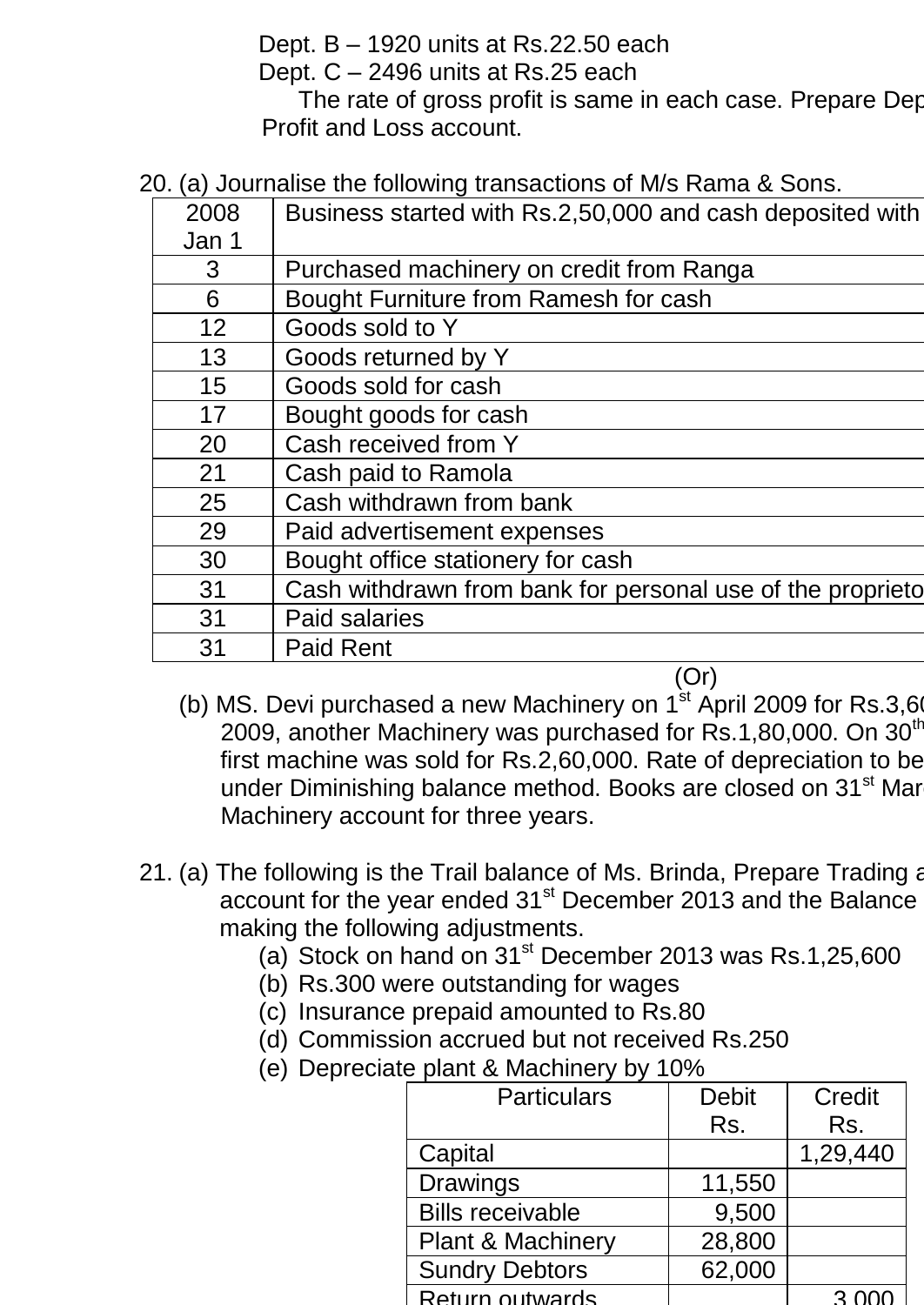Dept. B – 1920 units at Rs.22.50 each

Dept. C – 2496 units at Rs.25 each

The rate of gross profit is same in each case. Prepare Depare Profit and Loss account.

20. (a) Journalise the following transactions of M/s Rama & Sons.

| 2008  | Business started with Rs.2,50,000 and cash deposited with  |
|-------|------------------------------------------------------------|
| Jan 1 |                                                            |
| 3     | Purchased machinery on credit from Ranga                   |
| 6     | Bought Furniture from Ramesh for cash                      |
| 12    | Goods sold to Y                                            |
| 13    | Goods returned by Y                                        |
| 15    | Goods sold for cash                                        |
| 17    | Bought goods for cash                                      |
| 20    | Cash received from Y                                       |
| 21    | Cash paid to Ramola                                        |
| 25    | Cash withdrawn from bank                                   |
| 29    | Paid advertisement expenses                                |
| 30    | Bought office stationery for cash                          |
| 31    | Cash withdrawn from bank for personal use of the proprieto |
| 31    | <b>Paid salaries</b>                                       |
| 31    | <b>Paid Rent</b>                                           |
|       | (Or)                                                       |

- (b) MS. Devi purchased a new Machinery on  $1^{st}$  April 2009 for Rs.3,6 2009, another Machinery was purchased for Rs.1,80,000. On  $30<sup>th</sup>$ first machine was sold for Rs.2,60,000. Rate of depreciation to be under Diminishing balance method. Books are closed on 31<sup>st</sup> Mar Machinery account for three years.
- 21. (a) The following is the Trail balance of Ms. Brinda, Prepare Trading and Profit and Profit and Profit and Profit and Profit and Profit and Profit and Profit and Profit and Profit and Profit and Profit and Profit and P account for the year ended 31<sup>st</sup> December 2013 and the Balance making the following adjustments.
	- (a) Stock on hand on  $31<sup>st</sup>$  December 2013 was Rs.1,25,600
	- (b) Rs.300 were outstanding for wages
	- (c) Insurance prepaid amounted to Rs.80
	- (d) Commission accrued but not received Rs.250
	- (e) Depreciate plant & Machinery by 10%

| <b>Particulars</b>           | <b>Debit</b> | Credit   |
|------------------------------|--------------|----------|
|                              | Rs.          | Rs.      |
| Capital                      |              | 1,29,440 |
| <b>Drawings</b>              | 11,550       |          |
| <b>Bills receivable</b>      | 9,500        |          |
| <b>Plant &amp; Machinery</b> | 28,800       |          |
| <b>Sundry Debtors</b>        | 62,000       |          |
| Return outwards              |              |          |